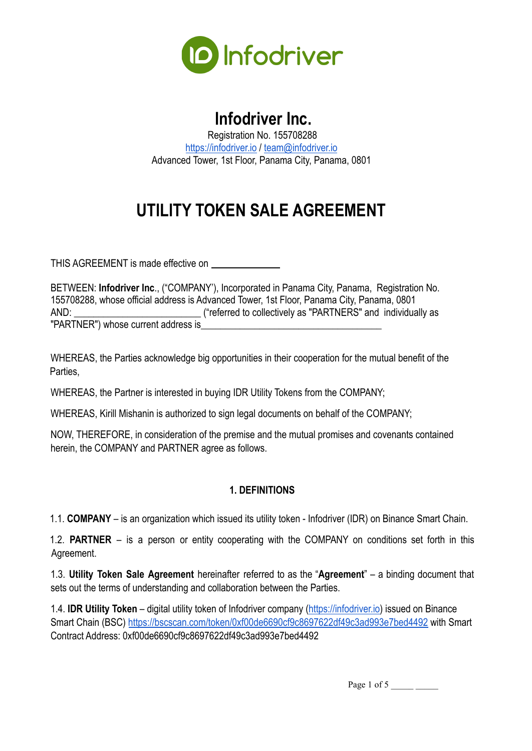

# **Infodriver Inc.**

Registration No. 155708288 <https://infodriver.io> / [team@infodriver.io](mailto:team@infodriver.io) Advanced Tower, 1st Floor, Panama City, Panama, 0801

# **UTILITY TOKEN SALE AGREEMENT**

THIS AGREEMENT is made effective on \_\_\_\_\_\_\_\_\_\_\_\_\_\_

BETWEEN: **Infodriver Inc**., ("COMPANY'), Incorporated in Panama City, Panama, Registration No. 155708288, whose official address is Advanced Tower, 1st Floor, Panama City, Panama, 0801 AND: **\_\_\_\_\_\_\_\_\_\_\_\_\_\_\_\_\_\_\_\_\_\_\_\_\_\_** ("referred to collectively as "PARTNERS" and individually as "PARTNER") whose current address is

WHEREAS, the Parties acknowledge big opportunities in their cooperation for the mutual benefit of the Parties,

WHEREAS, the Partner is interested in buying IDR Utility Tokens from the COMPANY;

WHEREAS, Kirill Mishanin is authorized to sign legal documents on behalf of the COMPANY;

NOW, THEREFORE, in consideration of the premise and the mutual promises and covenants contained herein, the COMPANY and PARTNER agree as follows.

## **1. DEFINITIONS**

1.1. **COMPANY** – is an organization which issued its utility token - Infodriver (IDR) on Binance Smart Chain.

1.2. **PARTNER** – is a person or entity cooperating with the COMPANY on conditions set forth in this Agreement.

1.3. **Utility Token Sale Agreement** hereinafter referred to as the "**Agreement**" – a binding document that sets out the terms of understanding and collaboration between the Parties.

1.4. **IDR Utility Token** – digital utility token of Infodriver company ([https://infodriver.io\)](https://infodriver.io) issued on Binance Smart Chain (BSC) <https://bscscan.com/token/0xf00de6690cf9c8697622df49c3ad993e7bed4492> with Smart Contract Address: 0xf00de6690cf9c8697622df49c3ad993e7bed4492

Page 1 of 5  $\_\_\_\_\_\_\_\_\_\_\_\_$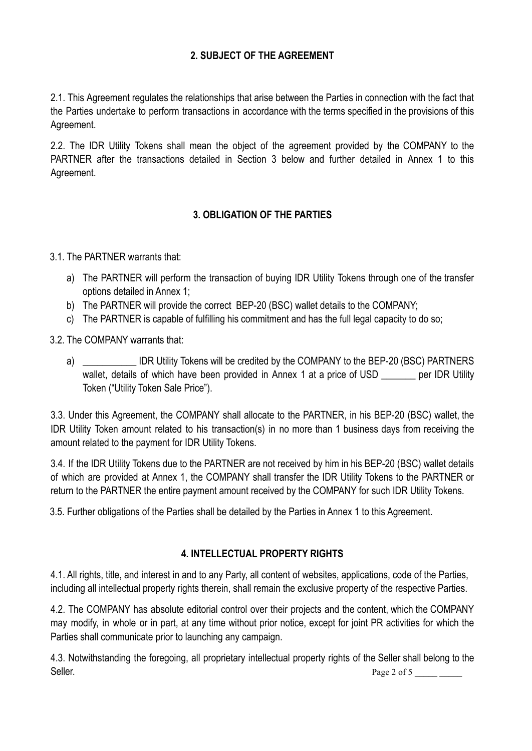## **2. SUBJECT OF THE AGREEMENT**

2.1. This Agreement regulates the relationships that arise between the Parties in connection with the fact that the Parties undertake to perform transactions in accordance with the terms specified in the provisions of this Agreement.

2.2. The IDR Utility Tokens shall mean the object of the agreement provided by the COMPANY to the PARTNER after the transactions detailed in Section 3 below and further detailed in Annex 1 to this Agreement.

# **3. OBLIGATION OF THE PARTIES**

3.1. The PARTNER warrants that:

- a) The PARTNER will perform the transaction of buying IDR Utility Tokens through one of the transfer options detailed in Annex 1;
- b) The PARTNER will provide the correct BEP-20 (BSC) wallet details to the COMPANY;
- c) The PARTNER is capable of fulfilling his commitment and has the full legal capacity to do so;

3.2. The COMPANY warrants that:

a) \_\_\_\_\_\_\_\_\_\_\_\_ IDR Utility Tokens will be credited by the COMPANY to the BEP-20 (BSC) PARTNERS wallet, details of which have been provided in Annex 1 at a price of USD per IDR Utility Token ("Utility Token Sale Price").

3.3. Under this Agreement, the COMPANY shall allocate to the PARTNER, in his BEP-20 (BSC) wallet, the IDR Utility Token amount related to his transaction(s) in no more than 1 business days from receiving the amount related to the payment for IDR Utility Tokens.

3.4. If the IDR Utility Tokens due to the PARTNER are not received by him in his BEP-20 (BSC) wallet details of which are provided at Annex 1, the COMPANY shall transfer the IDR Utility Tokens to the PARTNER or return to the PARTNER the entire payment amount received by the COMPANY for such IDR Utility Tokens.

3.5. Further obligations of the Parties shall be detailed by the Parties in Annex 1 to this Agreement.

## **4. INTELLECTUAL PROPERTY RIGHTS**

4.1. All rights, title, and interest in and to any Party, all content of websites, applications, code of the Parties, including all intellectual property rights therein, shall remain the exclusive property of the respective Parties.

4.2. The COMPANY has absolute editorial control over their projects and the content, which the COMPANY may modify, in whole or in part, at any time without prior notice, except for joint PR activities for which the Parties shall communicate prior to launching any campaign.

4.3. Notwithstanding the foregoing, all proprietary intellectual property rights of the Seller shall belong to the Seller. Page 2 of 5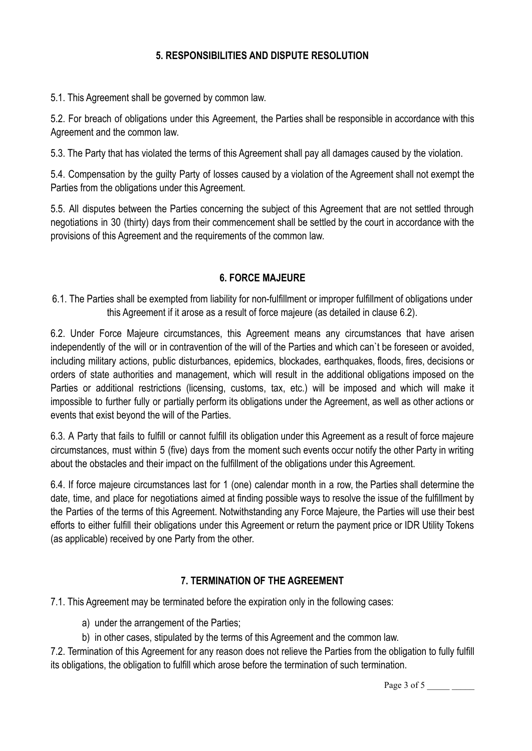### **5. RESPONSIBILITIES AND DISPUTE RESOLUTION**

5.1. This Agreement shall be governed by common law.

5.2. For breach of obligations under this Agreement, the Parties shall be responsible in accordance with this Agreement and the common law.

5.3. The Party that has violated the terms of this Agreement shall pay all damages caused by the violation.

5.4. Compensation by the guilty Party of losses caused by a violation of the Agreement shall not exempt the Parties from the obligations under this Agreement.

5.5. All disputes between the Parties concerning the subject of this Agreement that are not settled through negotiations in 30 (thirty) days from their commencement shall be settled by the court in accordance with the provisions of this Agreement and the requirements of the common law.

## **6. FORCE MAJEURE**

6.1. The Parties shall be exempted from liability for non-fulfillment or improper fulfillment of obligations under this Agreement if it arose as a result of force majeure (as detailed in clause 6.2).

6.2. Under Force Majeure circumstances, this Agreement means any circumstances that have arisen independently of the will or in contravention of the will of the Parties and which can`t be foreseen or avoided, including military actions, public disturbances, epidemics, blockades, earthquakes, floods, fires, decisions or orders of state authorities and management, which will result in the additional obligations imposed on the Parties or additional restrictions (licensing, customs, tax, etc.) will be imposed and which will make it impossible to further fully or partially perform its obligations under the Agreement, as well as other actions or events that exist beyond the will of the Parties.

6.3. A Party that fails to fulfill or cannot fulfill its obligation under this Agreement as a result of force majeure circumstances, must within 5 (five) days from the moment such events occur notify the other Party in writing about the obstacles and their impact on the fulfillment of the obligations under this Agreement.

6.4. If force majeure circumstances last for 1 (one) calendar month in a row, the Parties shall determine the date, time, and place for negotiations aimed at finding possible ways to resolve the issue of the fulfillment by the Parties of the terms of this Agreement. Notwithstanding any Force Majeure, the Parties will use their best efforts to either fulfill their obligations under this Agreement or return the payment price or IDR Utility Tokens (as applicable) received by one Party from the other.

## **7. TERMINATION OF THE AGREEMENT**

7.1. This Agreement may be terminated before the expiration only in the following cases:

- a) under the arrangement of the Parties;
- b) in other cases, stipulated by the terms of this Agreement and the common law.

7.2. Termination of this Agreement for any reason does not relieve the Parties from the obligation to fully fulfill its obligations, the obligation to fulfill which arose before the termination of such termination.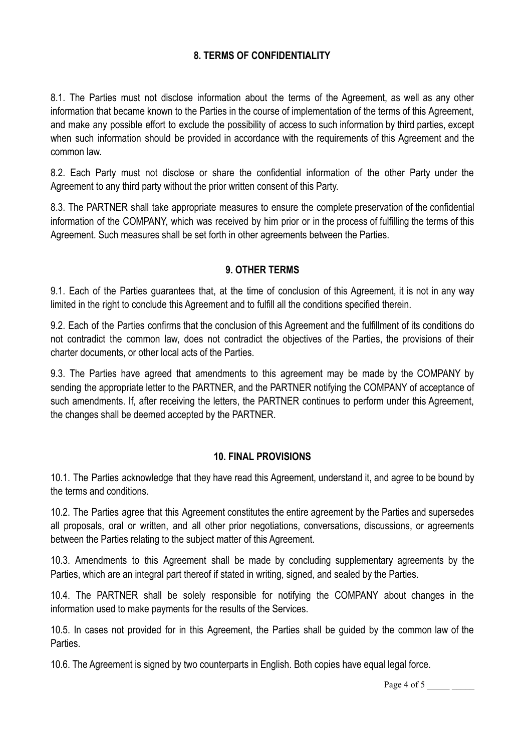### **8. TERMS OF CONFIDENTIALITY**

8.1. The Parties must not disclose information about the terms of the Agreement, as well as any other information that became known to the Parties in the course of implementation of the terms of this Agreement, and make any possible effort to exclude the possibility of access to such information by third parties, except when such information should be provided in accordance with the requirements of this Agreement and the common law.

8.2. Each Party must not disclose or share the confidential information of the other Party under the Agreement to any third party without the prior written consent of this Party.

8.3. The PARTNER shall take appropriate measures to ensure the complete preservation of the confidential information of the COMPANY, which was received by him prior or in the process of fulfilling the terms of this Agreement. Such measures shall be set forth in other agreements between the Parties.

#### **9. OTHER TERMS**

9.1. Each of the Parties guarantees that, at the time of conclusion of this Agreement, it is not in any way limited in the right to conclude this Agreement and to fulfill all the conditions specified therein.

9.2. Each of the Parties confirms that the conclusion of this Agreement and the fulfillment of its conditions do not contradict the common law, does not contradict the objectives of the Parties, the provisions of their charter documents, or other local acts of the Parties.

9.3. The Parties have agreed that amendments to this agreement may be made by the COMPANY by sending the appropriate letter to the PARTNER, and the PARTNER notifying the COMPANY of acceptance of such amendments. If, after receiving the letters, the PARTNER continues to perform under this Agreement, the changes shall be deemed accepted by the PARTNER.

#### **10. FINAL PROVISIONS**

10.1. The Parties acknowledge that they have read this Agreement, understand it, and agree to be bound by the terms and conditions.

10.2. The Parties agree that this Agreement constitutes the entire agreement by the Parties and supersedes all proposals, oral or written, and all other prior negotiations, conversations, discussions, or agreements between the Parties relating to the subject matter of this Agreement.

10.3. Amendments to this Agreement shall be made by concluding supplementary agreements by the Parties, which are an integral part thereof if stated in writing, signed, and sealed by the Parties.

10.4. The PARTNER shall be solely responsible for notifying the COMPANY about changes in the information used to make payments for the results of the Services.

10.5. In cases not provided for in this Agreement, the Parties shall be guided by the common law of the Parties.

10.6. The Agreement is signed by two counterparts in English. Both copies have equal legal force.

Page 4 of 5 \_\_\_\_\_ \_\_\_\_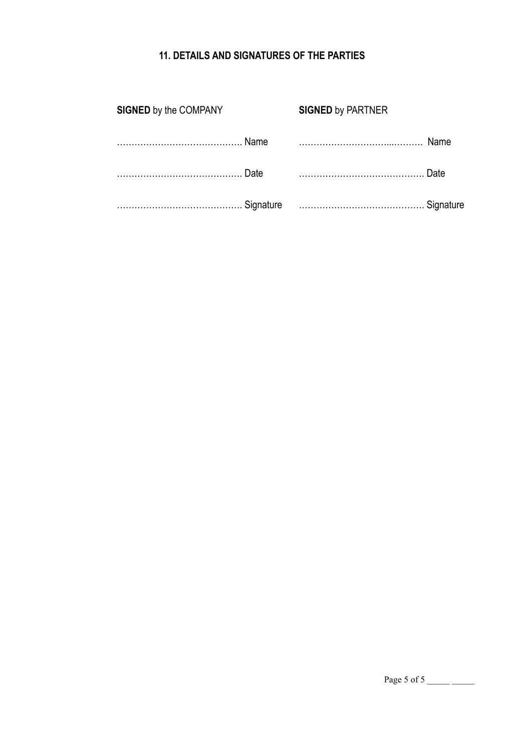# **11. DETAILS AND SIGNATURES OF THE PARTIES**

| <b>SIGNED by the COMPANY</b> |             | <b>SIGNED by PARTNER</b> |      |
|------------------------------|-------------|--------------------------|------|
|                              | <b>Name</b> |                          | Name |
|                              | Date        |                          | Date |
|                              |             | Signature Signature      |      |